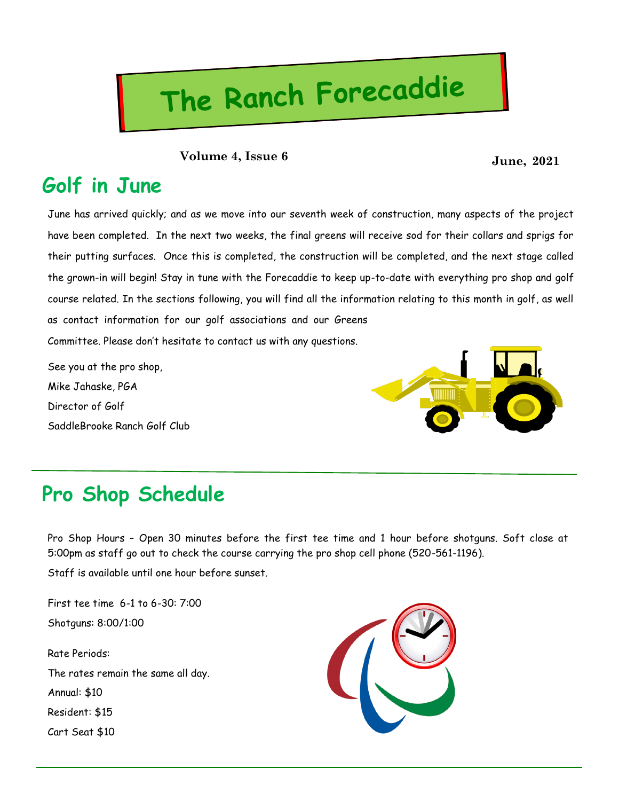# The Ranch Forecaddie

**June, 2021 Volume 4, Issue 6**

#### **Golf in June**

June has arrived quickly; and as we move into our seventh week of construction, many aspects of the project have been completed. In the next two weeks, the final greens will receive sod for their collars and sprigs for their putting surfaces. Once this is completed, the construction will be completed, and the next stage called the grown-in will begin! Stay in tune with the Forecaddie to keep up-to-date with everything pro shop and golf course related. In the sections following, you will find all the information relating to this month in golf, as well as contact information for our golf associations and our Greens Committee. Please don't hesitate to contact us with any questions.

See you at the pro shop, Mike Jahaske, PGA Director of Golf SaddleBrooke Ranch Golf Club



### **Pro Shop Schedule**

Pro Shop Hours – Open 30 minutes before the first tee time and 1 hour before shotguns. Soft close at 5:00pm as staff go out to check the course carrying the pro shop cell phone (520-561-1196).

Staff is available until one hour before sunset.

First tee time 6-1 to 6-30: 7:00 Shotguns: 8:00/1:00

Rate Periods: The rates remain the same all day. Annual: \$10 Resident: \$15 Cart Seat \$10

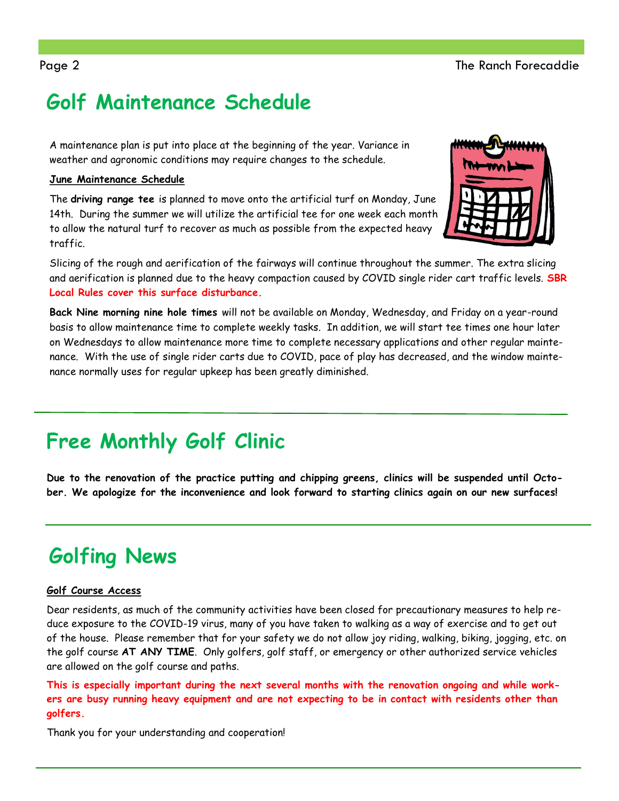## **Golf Maintenance Schedule**

A maintenance plan is put into place at the beginning of the year. Variance in weather and agronomic conditions may require changes to the schedule.

#### **June Maintenance Schedule**

The **driving range tee** is planned to move onto the artificial turf on Monday, June 14th. During the summer we will utilize the artificial tee for one week each month to allow the natural turf to recover as much as possible from the expected heavy traffic.



Slicing of the rough and aerification of the fairways will continue throughout the summer. The extra slicing and aerification is planned due to the heavy compaction caused by COVID single rider cart traffic levels. **SBR Local Rules cover this surface disturbance.**

**Back Nine morning nine hole times** will not be available on Monday, Wednesday, and Friday on a year-round basis to allow maintenance time to complete weekly tasks. In addition, we will start tee times one hour later on Wednesdays to allow maintenance more time to complete necessary applications and other regular maintenance. With the use of single rider carts due to COVID, pace of play has decreased, and the window maintenance normally uses for regular upkeep has been greatly diminished.

## **Free Monthly Golf Clinic**

**Due to the renovation of the practice putting and chipping greens, clinics will be suspended until October. We apologize for the inconvenience and look forward to starting clinics again on our new surfaces!**

## **Golfing News**

#### **Golf Course Access**

Dear residents, as much of the community activities have been closed for precautionary measures to help reduce exposure to the COVID-19 virus, many of you have taken to walking as a way of exercise and to get out of the house. Please remember that for your safety we do not allow joy riding, walking, biking, jogging, etc. on the golf course **AT ANY TIME**. Only golfers, golf staff, or emergency or other authorized service vehicles are allowed on the golf course and paths.

**This is especially important during the next several months with the renovation ongoing and while workers are busy running heavy equipment and are not expecting to be in contact with residents other than golfers.**

Thank you for your understanding and cooperation!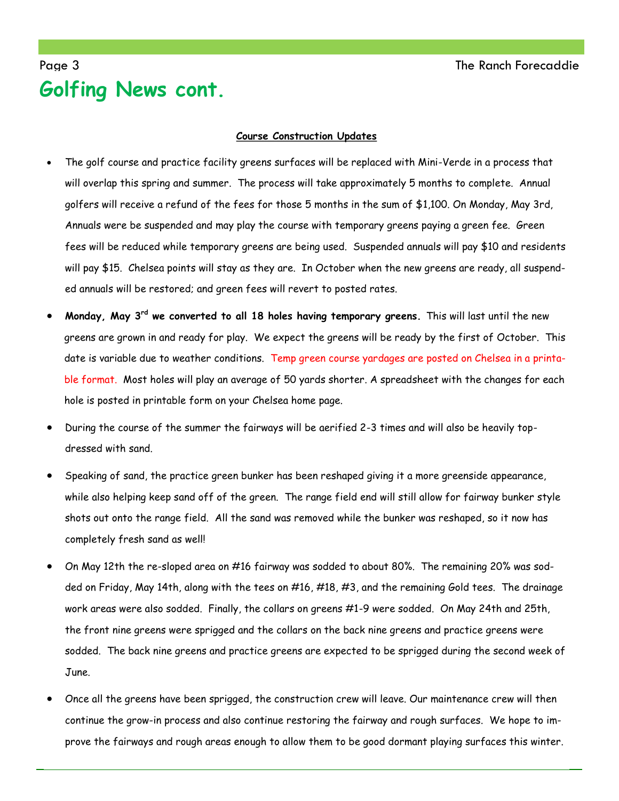#### Page 3 The Ranch Forecaddie **Golfing News cont.**

#### **Course Construction Updates**

- The golf course and practice facility greens surfaces will be replaced with Mini-Verde in a process that will overlap this spring and summer. The process will take approximately 5 months to complete. Annual golfers will receive a refund of the fees for those 5 months in the sum of \$1,100. On Monday, May 3rd, Annuals were be suspended and may play the course with temporary greens paying a green fee. Green fees will be reduced while temporary greens are being used. Suspended annuals will pay \$10 and residents will pay \$15. Chelsea points will stay as they are. In October when the new greens are ready, all suspended annuals will be restored; and green fees will revert to posted rates.
- **Monday, May 3rd we converted to all 18 holes having temporary greens.** This will last until the new greens are grown in and ready for play. We expect the greens will be ready by the first of October. This date is variable due to weather conditions. Temp green course yardages are posted on Chelsea in a printable format. Most holes will play an average of 50 yards shorter. A spreadsheet with the changes for each hole is posted in printable form on your Chelsea home page.
- During the course of the summer the fairways will be aerified 2-3 times and will also be heavily topdressed with sand.
- Speaking of sand, the practice green bunker has been reshaped giving it a more greenside appearance, while also helping keep sand off of the green. The range field end will still allow for fairway bunker style shots out onto the range field. All the sand was removed while the bunker was reshaped, so it now has completely fresh sand as well!
- On May 12th the re-sloped area on #16 fairway was sodded to about 80%. The remaining 20% was sodded on Friday, May 14th, along with the tees on #16, #18, #3, and the remaining Gold tees. The drainage work areas were also sodded. Finally, the collars on greens #1-9 were sodded. On May 24th and 25th, the front nine greens were sprigged and the collars on the back nine greens and practice greens were sodded. The back nine greens and practice greens are expected to be sprigged during the second week of June.
- Once all the greens have been sprigged, the construction crew will leave. Our maintenance crew will then continue the grow-in process and also continue restoring the fairway and rough surfaces. We hope to improve the fairways and rough areas enough to allow them to be good dormant playing surfaces this winter.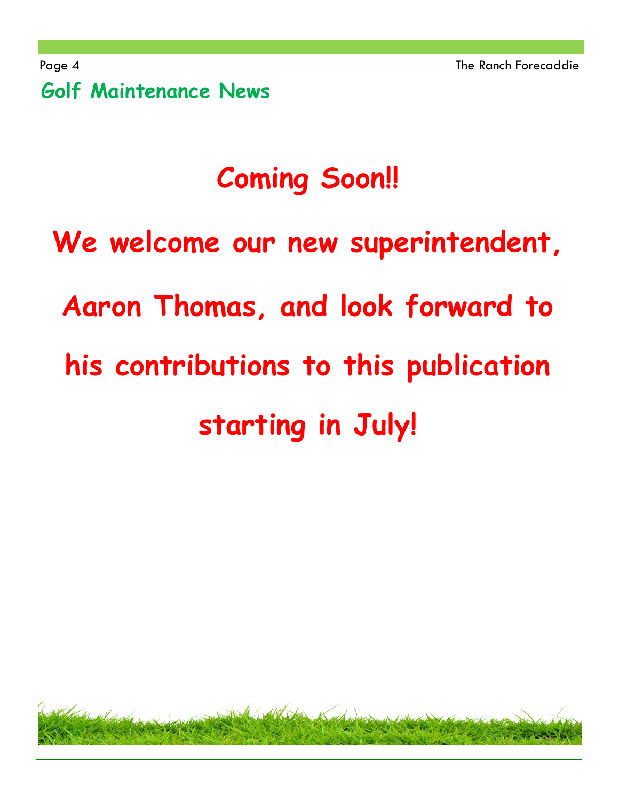Page 4 The Ranch Forecaddie **Golf Maintenance News** 

## **Coming Soon!!**

# **We welcome our new superintendent, Aaron Thomas, and look forward to his contributions to this publication starting in July!**